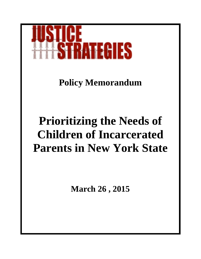

**Policy Memorandum**

# **Prioritizing the Needs of Children of Incarcerated Parents in New York State**

**March 26 , 2015**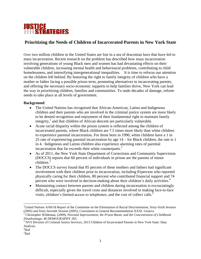

# **Prioritizing the Needs of Children of Incarcerated Parents in New York State**

Over two million children in the United States are lost in a sea of draconian laws that have led to mass incarceration. Recent research on the problem has described how mass incarceration involving generations of young Black men and women has had devastating effects on their vulnerable children, increasing mental health and behavioural problems, contributing to child homelessness, and intensifying intergenerational inequalities. It is time to refocus our attention on the children left behind. By honoring the right to family integrity of children who have a mother or father facing a possible prison term, promoting alternatives to incarcerating parents, and offering the necessary socio-economic supports to help families thrive, New York can lead the way in prioritizing children, families and communities. To undo decades of damage, reform needs to take place at all levels of government.

### **Background**

- The United Nations has recognized that African-American, Latino and Indigenous children and their parents who are involved in the criminal justice system are more likely to be denied recognition and enjoyment of their fundamental right to maintain family integrity, 1 and that children of African descent are particularly vulnerable.
- Acute racial disparity within the prison system is reflected among the children of incarcerated parents, where Black children are 7.5 times more likely than white children to experience parental incarceration. For those born in 1990, white children have a 1 in 25 rate of experiencing parental incarceration by age 14 – for Black children, the rate is 1 in 4. Indigenous and Latino children also experience alarming rates of parental incarceration that far exceeds their white counterparts.<sup>2</sup>
- As of 2011, the New York State Department of Corrections and Community Supervision (DOCCS) reports that 60 percent of individuals in prison are the parents of minor children.<sup>3</sup>
- The DOCCS survey found that 85 percent of these mothers and fathers had significant involvement with their children prior to incarceration, including 81percent who reported physically caring for their children, 80 percent who contributed financial support and 74 percent who were involved in decision-making about their children's daily activities.<sup>4</sup>
- Maintaining contact between parents and children during incarceration is excruciatingly difficult, especially given the travel costs and distances involved in making face-to-face visits, children's limited access to telephones, and the cost of collect calls.<sup>5</sup>

4 Ibid

 $\overline{a}$ 

<sup>&</sup>lt;sup>1</sup>United Nations A/60/18 Report of the Committee on the Elimination of Racial Discrimination, Sixty-Sixth Session (2005) and Sixty-Seventh Session (2005), Convention in General Recommendation XXXI. Geneva.

<sup>2</sup> Christopher Wildeman, (2009). *Parental Imprisonment, the Prison Boom, and the Concentration of Childhood Disadvantage,* 46 DEMOGRAPHY 265.

<sup>&</sup>lt;sup>3</sup> NYS Division of Criminal Justice Services, 2013 Children of Incarcerated Parents in New York State: Data Analysis.

<sup>&</sup>lt;sup>5</sup>Ibid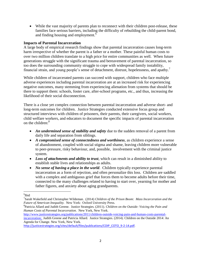While the vast majority of parents plan to reconnect with their children post-release, these families face serious barriers, including the difficulty of rebuilding the child-parent bond, and finding housing and employment.<sup>6</sup>

#### **Impacts of Parental Incarceration**

A large body of empirical research findings show that parental incarceration causes long-term harm irrespective of whether the parent is a father or a mother. These painful human costs to over two million children translate to a high price for entire communities as well. When future generations struggle with the significant trauma and bereavement of parental incarceration, so too does the surrounding community struggle to cope with widespread family instability, financial strain, and young people's sense of detachment, distrust, hopelessness, and apathy.<sup>7</sup>

While children of incarcerated parents can succeed with support, children who face multiple adverse experiences including parental incarceration are at an increased risk for experiencing negative outcomes, many stemming from experiencing alienation from systems that should be there to support them: schools, foster care, after-school programs, etc., and thus, increasing the likelihood of their social disconnection.

There is a close yet complex connection between parental incarceration and adverse short- and long-term outcomes for children. Justice Strategies conducted extensive focus group and structured interviews with children of prisoners, their parents, their caregivers, social workers, child welfare workers, and educators to document the specific impacts of parental incarceration on the children: $8<sup>8</sup>$ 

- *An undermined sense of stability and safety* due to the sudden removal of a parent from daily life and separation from siblings.
- *A compromised sense of connectedness and worthiness*, as children experience a sense of abandonment, coupled with social stigma and shame, leaving children more vulnerable to peer-pressure, risky behaviour, and, possible, involvement with the criminal justice system.
- *Loss of attachments and ability to trust*, which can result in a diminished ability to establish stable lives and relationships as adults.
- *No sense of having a place in the world.* Children typically experience parental incarceration as a form of rejection, and often personalize this loss. Children are saddled with a complex and ambiguous grief that forces them to become adults before their time, connected to the many challenges related to having to start over, yearning for mother and father figures, and anxiety about aging grandparents.

l

[http://www.justicestrategies.org/publications/2011/children-outside-voicing-pain-and-human-costs-parental](http://www.justicestrategies.org/publications/2011/children-outside-voicing-pain-and-human-costs-parental-incarceration)[incarceration;](http://www.justicestrategies.org/publications/2011/children-outside-voicing-pain-and-human-costs-parental-incarceration) Judith Greene and Patricia Allard. Justice Strategies. (2014). Children on the Outside 2014: An Agenda for Change. New York, New York.

<sup>6</sup> Ibid

<sup>7</sup> Sarah Wakefield and Christopher Wildeman. (2014) *Children of the Prison Boom: Mass Incarceration and the Future of American Inequality.* New York: Oxford University Press.

<sup>8</sup> Patricia Allard and Judith Greene. Justice Strategies. (2011). *Children on the Outside: Voicing the Pain and Human Costs of Parental Incarceration.* New York, New York.

[http://justicestrategies.org/sites/default/files/publications/COIP\\_COTO\\_9-2-14.pdf.](http://justicestrategies.org/sites/default/files/publications/COIP_COTO_9-2-14.pdf)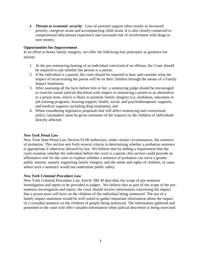*Threats to economic security*. Loss of parental support often results in increased poverty, caregiver strain and accompanying child strain. It is also closely connected to compromised educational experience and increased risk of involvement with drugs to earn money.

## **Opportunities for Improvement**

In an effort to honor family integrity, we offer the following four principles as guidance for reform:

- 1. At the pre-sentencing hearing of an individual convicted of an offense, the Court should be required to ask whether the person is a parent;
- 2. If the individual is a parent, the court should be required to hear and consider what the impact of incarcerating the parent will be on their children through the means of a Family Impact Statement;
- 3. After assessing all the facts before him or her, a sentencing judge should be encouraged to exercise sound judicial discretion with respect to sentencing a parent to an alternative to a prison term, which is likely to promote family integrity (i.e. probation, education or job training programs, housing support, health, social, and psychotherapeutic supports, and medical supports including drug treatment); and
- 4. When considering legislative proposals that will affect sentencing and correctional policy, lawmakers must be given estimates of the impacts on the children of individuals directly affected.

#### *New York Penal Law*

New York State Penal Law Section 65.00 authorizes, under certain circumstances, the sentence of probation. This section sets forth several criteria in determining whether a probation sentence is appropriate if otherwise allowed by law. We believe that by adding a requirement that the court examine whether the individual before the court is a parent, this section could provide an affirmative role for the court to explore whether a sentence of probation can serve a greater public interest, namely supporting family integrity and the needs and rights of children, in cases where such a sentence would not undermine public safety.

#### *New York Criminal Procedure Law*

New York Criminal Procedure Law Article 390.30 describes the scope of pre-sentence investigation and report to be provided to judges. We believe that as part of the scope of the presentence investigation and report, the court should receive information concerning the impact that a prison term will have on the children of the individual being sentenced. The use of a family impact statement would be well suited to gather important information about the impact of a custodial sentence on the children of people being sentenced. The information gathered and presented to the court will offer valuable information when judicial discretion is being exercised.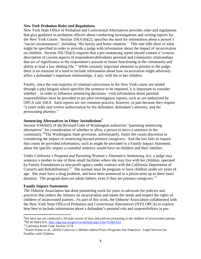#### *New York Probation Rules and Regulations*

New York State Office of Probation and Correctional Alternatives provides rules and regulations that give guidance to probation officers about conducting investigations and writing reports for the New York Courts. Section 350.6 (b)(2), specifies the need for information about a person's "social circumstances", including "the family and home situation.' This rule falls short of what might be specified in order to provide a judge with information about the impact of incarceration on children. Section 350.7(b)(3) requires that a pre-sentencing report should contain a "concise description of current aspects of respondents/defendants personal and community relationships that are of significance to the respondent's present or future functioning in the community and ability to lead a law abiding life." While certainly important elements to present to the judge, there is no mention of a need to include information about how incarceration might adversely affect a defendant's important relationships, if any, with his or her children.

Finally, since the vast majority of criminal convictions in the New York courts are settled through a plea bargain which specifies the sentence to be imposed, it is important to consider whether – in order to influence sentencing decisions –vital information about parental responsibilities must be provided in pre-plea investigation reports, such as are authorized by OPCA rule 350.9. Such reports are not common practice, however, in part because they require "a court order and written authorization by the defendant, defendant's attorney, and the prosecuting attorney."

#### **Sentencing Alternatives in Other Jurisdictions**<sup>9</sup>

Section 9.94A655 of the Revised Code of Washington authorizes "parenting sentencing alternatives" for consideration of whether to allow a person to serve a sentence in the community.<sup>10</sup>The Washington State provision, unfortunately, limits the courts discretion in considering the impact of sentencing beyond primary caregivers. And the law fails to require that courts be provided information, such as might be provided in a Family Impact Statement, about the specific impact a custodial sentence would have on children and their families.

Under California's Pregnant and Parenting Women's Alternative Sentencing Act, a judge may sentence a mother to one of three small facilities where she may live with her children, operated by Family Foundations (a non-profit agency under contract with the California Department of Corrects and Rehabilitation).<sup>11</sup> The woman must be pregnant or have children under six years of age. She must have a drug problem, and have been sentenced to a prison term up to three years duration. The program does not admit fathers, even if they are primary caregivers.<sup>12</sup>

#### **Family Impact Statements**

The Osborne Association has done pioneering work for years to advocate for policies and practices that reduce the reliance on incarceration and meets the needs and respect the rights of children of incarcerated parents.. As part of this work, the Osborne Association collaborated with the New York State Office of Probation and Correctional Alternatives (NYS OPCA) to explore how best to include information about a defendant's parental role and responsibilities in pre-

 $\overline{a}$ 

<sup>&</sup>lt;sup>9</sup>We have not yet conducted a 50-state survey of laws and policies pertaining to the children of incarcerated parents. <sup>10</sup>RCW 994A.655[. http://app.leg.wa.gov/rcw/default.aspx?cite=9.94A.655](http://app.leg.wa.gov/rcw/default.aspx?cite=9.94A.655)

<sup>&</sup>lt;sup>11</sup>California Penal Code Section 1174

<sup>12</sup>Karen Schain et al. (2010) *California's Mother-Infant Prison Programs* San Francisco: Legal Services for Families with Children.